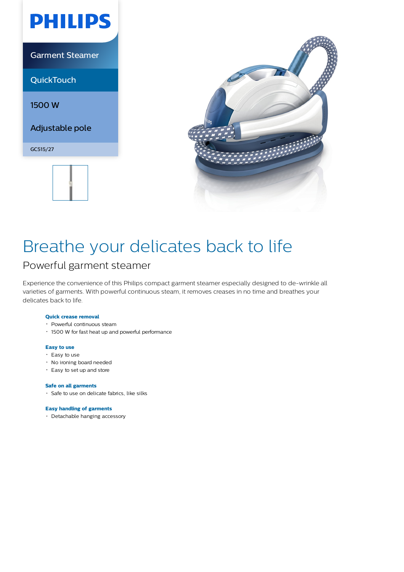

Garment Steamer

**QuickTouch** 

1500 W

Adjustable pole

GC515/27





# Breathe your delicates back to life

### Powerful garment steamer

Experience the convenience of this Philips compact garment steamer especially designed to de-wrinkle all varieties of garments. With powerful continuous steam, it removes creases in no time and breathes your delicates back to life.

#### **Quick crease removal**

- Powerful continuous steam
- 1500 W for fast heat up and powerful performance

#### **Easy to use**

- $\cdot$  Easy to use
- No ironing board needed
- Easy to set up and store

#### **Safe on all garments**

Safe to use on delicate fabrics, like silks

#### **Easy handling of garments**

Detachable hanging accessory